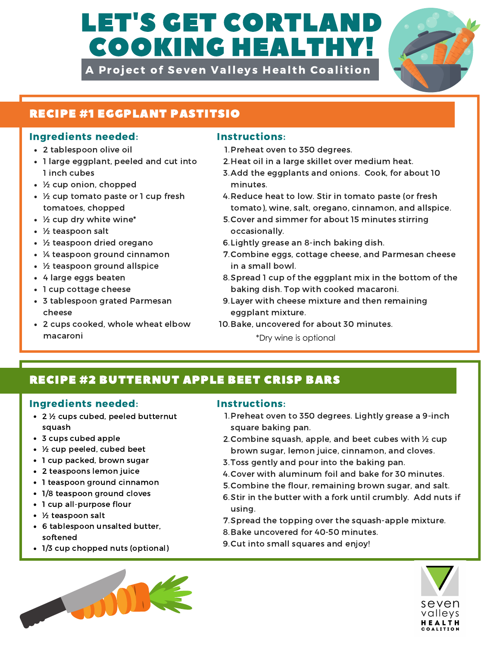# LET'S GET CORTLAN COOKING HEALTHY!

A Project of Seven Valleys Health Coalition



## RECIPE #1 EGGPLANT PASTITSIO

## Ingredients needed: Instructions:

- 2 tablespoon olive oil
- 1 large eggplant, peeled and cut into 1 inch cubes
- ½ cup onion, chopped
- ½ cup tomato paste or 1 cup fresh tomatoes, chopped
- ½ cup dry white wine\*
- ½ teaspoon salt
- ½ teaspoon dried oregano
- ¼ teaspoon ground cinnamon
- ½ teaspoon ground allspice
- 4 large eggs beaten
- 1 cup cottage cheese
- 3 tablespoon grated Parmesan cheese
- 2 cups cooked, whole wheat elbow macaroni **\*Dry wine is optional**

- 1. Preheat oven to 350 degrees.
- 2. Heat oil in a large skillet over medium heat.
- 3. Add the eggplants and onions. Cook, for about 10 minutes.
- 4. Reduce heat to low. Stir in tomato paste (or fresh tomato), wine, salt, oregano, cinnamon, and allspice.
- 5. Cover and simmer for about 15 minutes stirring occasionally.
- 6. Lightly grease an 8-inch baking dish.
- 7. Combine eggs, cottage cheese, and Parmesan cheese in a small bowl.
- 8. Spread 1 cup of the eggplant mix in the bottom of the baking dish. Top with cooked macaroni.
- 9. Layer with cheese mixture and then remaining eggplant mixture.
- 10. Bake, uncovered for about 30 minutes.
	-

# RECIPE #2 BUTTERNUT APPLE BEET CRISP BARS

### Ingredients needed: Instructions:

- 2 ½ cups cubed, peeled butternut squash
- 3 cups cubed apple
- ½ cup peeled, cubed beet
- 1 cup packed, brown sugar
- 2 teaspoons lemon juice
- 1 teaspoon ground cinnamon
- 1/8 teaspoon ground cloves
- 1 cup all-purpose flour
- ½ teaspoon salt
- 6 tablespoon unsalted butter, softened
- 1/3 cup chopped nuts (optional)



- 1. Preheat oven to 350 degrees. Lightly grease a 9-inch square baking pan.
- 2. Combine squash, apple, and beet cubes with  $\frac{1}{2}$  cup brown sugar, lemon juice, cinnamon, and cloves.
- 3. Toss gently and pour into the baking pan.
- 4. Cover with aluminum foil and bake for 30 minutes.
- 5. Combine the flour, remaining brown sugar, and salt.
- 6. Stir in the butter with a fork until crumbly. Add nuts if using.
- 7. Spread the topping over the squash-apple mixture.
- 8. Bake uncovered for 40-50 minutes.
- 9. Cut into small squares and enjoy!